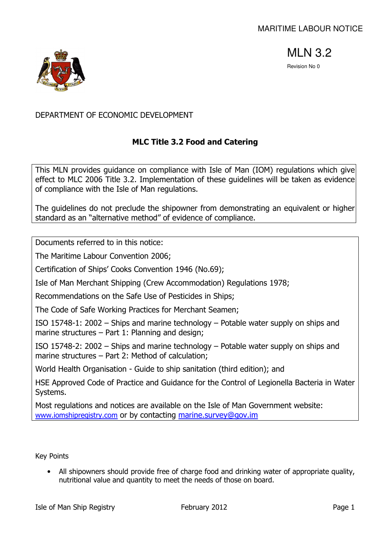

# DEPARTMENT OF ECONOMIC DEVELOPMENT

# MLC Title 3.2 Food and Catering

This MLN provides guidance on compliance with Isle of Man (IOM) regulations which give effect to MLC 2006 Title 3.2. Implementation of these guidelines will be taken as evidence of compliance with the Isle of Man regulations.

The guidelines do not preclude the shipowner from demonstrating an equivalent or higher standard as an "alternative method" of evidence of compliance.

Documents referred to in this notice:

The Maritime Labour Convention 2006;

Certification of Ships' Cooks Convention 1946 (No.69);

Isle of Man Merchant Shipping (Crew Accommodation) Regulations 1978;

Recommendations on the Safe Use of Pesticides in Ships;

The Code of Safe Working Practices for Merchant Seamen;

ISO 15748-1: 2002 – Ships and marine technology – Potable water supply on ships and marine structures – Part 1: Planning and design;

ISO 15748-2: 2002 – Ships and marine technology – Potable water supply on ships and marine structures – Part 2: Method of calculation;

World Health Organisation - Guide to ship sanitation (third edition); and

HSE Approved Code of Practice and Guidance for the Control of Legionella Bacteria in Water Systems.

Most regulations and notices are available on the Isle of Man Government website: www.iomshipregistry.com or by contacting marine.survey@gov.im

Key Points

• All shipowners should provide free of charge food and drinking water of appropriate quality, nutritional value and quantity to meet the needs of those on board.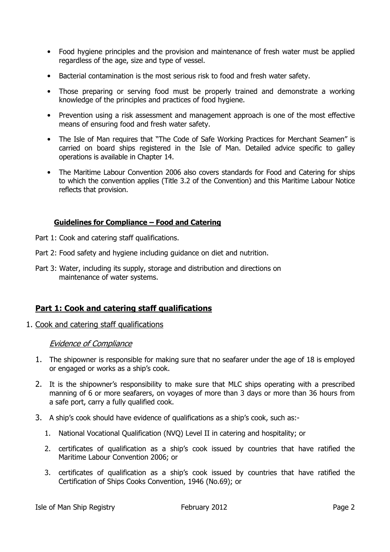- Food hygiene principles and the provision and maintenance of fresh water must be applied regardless of the age, size and type of vessel.
- Bacterial contamination is the most serious risk to food and fresh water safety.
- Those preparing or serving food must be properly trained and demonstrate a working knowledge of the principles and practices of food hygiene.
- Prevention using a risk assessment and management approach is one of the most effective means of ensuring food and fresh water safety.
- The Isle of Man requires that "The Code of Safe Working Practices for Merchant Seamen" is carried on board ships registered in the Isle of Man. Detailed advice specific to galley operations is available in Chapter 14.
- The Maritime Labour Convention 2006 also covers standards for Food and Catering for ships to which the convention applies (Title 3.2 of the Convention) and this Maritime Labour Notice reflects that provision.

## Guidelines for Compliance – Food and Catering

- Part 1: Cook and catering staff qualifications.
- Part 2: Food safety and hygiene including guidance on diet and nutrition.
- Part 3: Water, including its supply, storage and distribution and directions on maintenance of water systems.

## Part 1: Cook and catering staff qualifications

1. Cook and catering staff qualifications

- 1. The shipowner is responsible for making sure that no seafarer under the age of 18 is employed or engaged or works as a ship's cook.
- 2. It is the shipowner's responsibility to make sure that MLC ships operating with a prescribed manning of 6 or more seafarers, on voyages of more than 3 days or more than 36 hours from a safe port, carry a fully qualified cook.
- 3. A ship's cook should have evidence of qualifications as a ship's cook, such as:-
	- 1. National Vocational Qualification (NVQ) Level II in catering and hospitality; or
	- 2. certificates of qualification as a ship's cook issued by countries that have ratified the Maritime Labour Convention 2006; or
	- 3. certificates of qualification as a ship's cook issued by countries that have ratified the Certification of Ships Cooks Convention, 1946 (No.69); or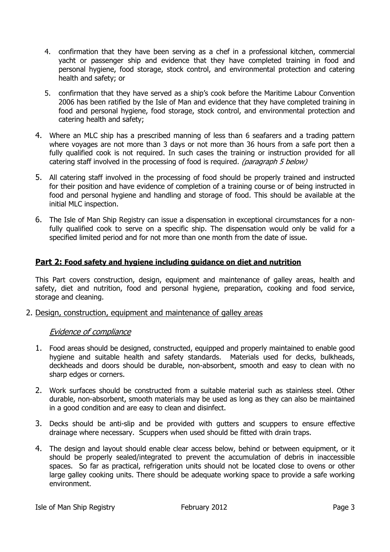- 4. confirmation that they have been serving as a chef in a professional kitchen, commercial yacht or passenger ship and evidence that they have completed training in food and personal hygiene, food storage, stock control, and environmental protection and catering health and safety; or
- 5. confirmation that they have served as a ship's cook before the Maritime Labour Convention 2006 has been ratified by the Isle of Man and evidence that they have completed training in food and personal hygiene, food storage, stock control, and environmental protection and catering health and safety;
- 4. Where an MLC ship has a prescribed manning of less than 6 seafarers and a trading pattern where voyages are not more than 3 days or not more than 36 hours from a safe port then a fully qualified cook is not required. In such cases the training or instruction provided for all catering staff involved in the processing of food is required. *(paragraph 5 below)*
- 5. All catering staff involved in the processing of food should be properly trained and instructed for their position and have evidence of completion of a training course or of being instructed in food and personal hygiene and handling and storage of food. This should be available at the initial MLC inspection.
- 6. The Isle of Man Ship Registry can issue a dispensation in exceptional circumstances for a nonfully qualified cook to serve on a specific ship. The dispensation would only be valid for a specified limited period and for not more than one month from the date of issue.

## Part 2: Food safety and hygiene including guidance on diet and nutrition

This Part covers construction, design, equipment and maintenance of galley areas, health and safety, diet and nutrition, food and personal hygiene, preparation, cooking and food service, storage and cleaning.

## 2. Design, construction, equipment and maintenance of galley areas

- 1. Food areas should be designed, constructed, equipped and properly maintained to enable good hygiene and suitable health and safety standards. Materials used for decks, bulkheads, deckheads and doors should be durable, non-absorbent, smooth and easy to clean with no sharp edges or corners.
- 2. Work surfaces should be constructed from a suitable material such as stainless steel. Other durable, non-absorbent, smooth materials may be used as long as they can also be maintained in a good condition and are easy to clean and disinfect.
- 3. Decks should be anti-slip and be provided with gutters and scuppers to ensure effective drainage where necessary. Scuppers when used should be fitted with drain traps.
- 4. The design and layout should enable clear access below, behind or between equipment, or it should be properly sealed/integrated to prevent the accumulation of debris in inaccessible spaces. So far as practical, refrigeration units should not be located close to ovens or other large galley cooking units. There should be adequate working space to provide a safe working environment.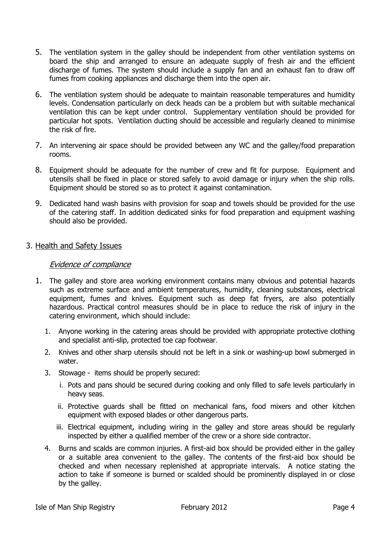- 5. The ventilation system in the galley should be independent from other ventilation systems on board the ship and arranged to ensure an adequate supply of fresh air and the efficient discharge of fumes. The system should include a supply fan and an exhaust fan to draw off fumes from cooking appliances and discharge them into the open air.
- 6. The ventilation system should be adequate to maintain reasonable temperatures and humidity levels. Condensation particularly on deck heads can be a problem but with suitable mechanical ventilation this can be kept under control. Supplementary ventilation should be provided for particular hot spots. Ventilation ducting should be accessible and regularly cleaned to minimise the risk of fire.
- 7. An intervening air space should be provided between any WC and the galley/food preparation rooms.
- 8. Equipment should be adequate for the number of crew and fit for purpose. Equipment and utensils shall be fixed in place or stored safely to avoid damage or injury when the ship rolls. Equipment should be stored so as to protect it against contamination.
- 9. Dedicated hand wash basins with provision for soap and towels should be provided for the use of the catering staff. In addition dedicated sinks for food preparation and equipment washing should also be provided.

## 3. Health and Safety Issues

- 1. The galley and store area working environment contains many obvious and potential hazards such as extreme surface and ambient temperatures, humidity, cleaning substances, electrical equipment, fumes and knives. Equipment such as deep fat fryers, are also potentially hazardous. Practical control measures should be in place to reduce the risk of injury in the catering environment, which should include:
	- 1. Anyone working in the catering areas should be provided with appropriate protective clothing and specialist anti-slip, protected toe cap footwear.
	- 2. Knives and other sharp utensils should not be left in a sink or washing-up bowl submerged in water.
	- 3. Stowage items should be properly secured:
		- i. Pots and pans should be secured during cooking and only filled to safe levels particularly in heavy seas.
		- ii. Protective guards shall be fitted on mechanical fans, food mixers and other kitchen equipment with exposed blades or other dangerous parts.
		- iii. Electrical equipment, including wiring in the galley and store areas should be regularly inspected by either a qualified member of the crew or a shore side contractor.
	- 4. Burns and scalds are common injuries. A first-aid box should be provided either in the galley or a suitable area convenient to the galley. The contents of the first-aid box should be checked and when necessary replenished at appropriate intervals. A notice stating the action to take if someone is burned or scalded should be prominently displayed in or close by the galley.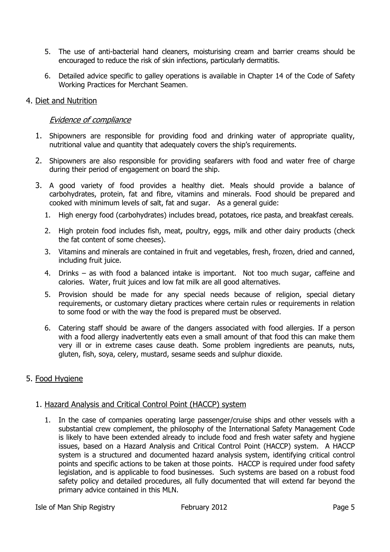- 5. The use of anti-bacterial hand cleaners, moisturising cream and barrier creams should be encouraged to reduce the risk of skin infections, particularly dermatitis.
- 6. Detailed advice specific to galley operations is available in Chapter 14 of the Code of Safety Working Practices for Merchant Seamen.

## 4. Diet and Nutrition

## Evidence of compliance

- 1. Shipowners are responsible for providing food and drinking water of appropriate quality, nutritional value and quantity that adequately covers the ship's requirements.
- 2. Shipowners are also responsible for providing seafarers with food and water free of charge during their period of engagement on board the ship.
- 3. A good variety of food provides a healthy diet. Meals should provide a balance of carbohydrates, protein, fat and fibre, vitamins and minerals. Food should be prepared and cooked with minimum levels of salt, fat and sugar. As a general guide:
	- 1. High energy food (carbohydrates) includes bread, potatoes, rice pasta, and breakfast cereals.
	- 2. High protein food includes fish, meat, poultry, eggs, milk and other dairy products (check the fat content of some cheeses).
	- 3. Vitamins and minerals are contained in fruit and vegetables, fresh, frozen, dried and canned, including fruit juice.
	- 4. Drinks as with food a balanced intake is important. Not too much sugar, caffeine and calories. Water, fruit juices and low fat milk are all good alternatives.
	- 5. Provision should be made for any special needs because of religion, special dietary requirements, or customary dietary practices where certain rules or requirements in relation to some food or with the way the food is prepared must be observed.
	- 6. Catering staff should be aware of the dangers associated with food allergies. If a person with a food allergy inadvertently eats even a small amount of that food this can make them very ill or in extreme cases cause death. Some problem ingredients are peanuts, nuts, gluten, fish, soya, celery, mustard, sesame seeds and sulphur dioxide.

## 5. Food Hygiene

## 1. Hazard Analysis and Critical Control Point (HACCP) system

1. In the case of companies operating large passenger/cruise ships and other vessels with a substantial crew complement, the philosophy of the International Safety Management Code is likely to have been extended already to include food and fresh water safety and hygiene issues, based on a Hazard Analysis and Critical Control Point (HACCP) system. A HACCP system is a structured and documented hazard analysis system, identifying critical control points and specific actions to be taken at those points. HACCP is required under food safety legislation, and is applicable to food businesses. Such systems are based on a robust food safety policy and detailed procedures, all fully documented that will extend far beyond the primary advice contained in this MLN.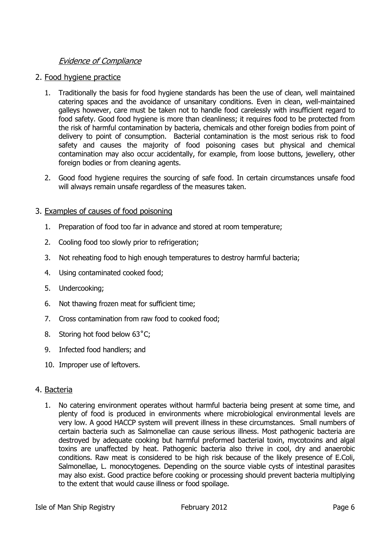## Evidence of Compliance

## 2. Food hygiene practice

- 1. Traditionally the basis for food hygiene standards has been the use of clean, well maintained catering spaces and the avoidance of unsanitary conditions. Even in clean, well-maintained galleys however, care must be taken not to handle food carelessly with insufficient regard to food safety. Good food hygiene is more than cleanliness; it requires food to be protected from the risk of harmful contamination by bacteria, chemicals and other foreign bodies from point of delivery to point of consumption. Bacterial contamination is the most serious risk to food safety and causes the majority of food poisoning cases but physical and chemical contamination may also occur accidentally, for example, from loose buttons, jewellery, other foreign bodies or from cleaning agents.
- 2. Good food hygiene requires the sourcing of safe food. In certain circumstances unsafe food will always remain unsafe regardless of the measures taken.

## 3. Examples of causes of food poisoning

- 1. Preparation of food too far in advance and stored at room temperature;
- 2. Cooling food too slowly prior to refrigeration;
- 3. Not reheating food to high enough temperatures to destroy harmful bacteria;
- 4. Using contaminated cooked food;
- 5. Undercooking;
- 6. Not thawing frozen meat for sufficient time;
- 7. Cross contamination from raw food to cooked food;
- 8. Storing hot food below 63°C;
- 9. Infected food handlers; and
- 10. Improper use of leftovers.

## 4. Bacteria

1. No catering environment operates without harmful bacteria being present at some time, and plenty of food is produced in environments where microbiological environmental levels are very low. A good HACCP system will prevent illness in these circumstances. Small numbers of certain bacteria such as Salmonellae can cause serious illness. Most pathogenic bacteria are destroyed by adequate cooking but harmful preformed bacterial toxin, mycotoxins and algal toxins are unaffected by heat. Pathogenic bacteria also thrive in cool, dry and anaerobic conditions. Raw meat is considered to be high risk because of the likely presence of E.Coli, Salmonellae, L. monocytogenes. Depending on the source viable cysts of intestinal parasites may also exist. Good practice before cooking or processing should prevent bacteria multiplying to the extent that would cause illness or food spoilage.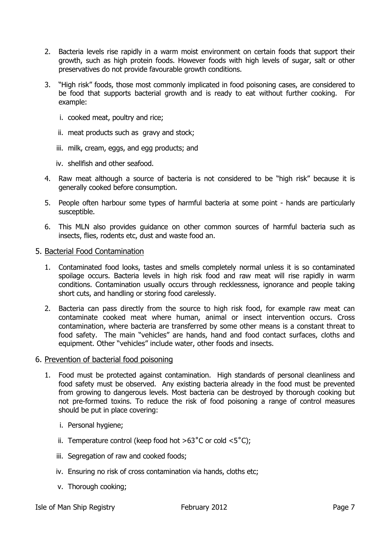- 2. Bacteria levels rise rapidly in a warm moist environment on certain foods that support their growth, such as high protein foods. However foods with high levels of sugar, salt or other preservatives do not provide favourable growth conditions.
- 3. "High risk" foods, those most commonly implicated in food poisoning cases, are considered to be food that supports bacterial growth and is ready to eat without further cooking. For example:
	- i. cooked meat, poultry and rice;
	- ii. meat products such as gravy and stock;
	- iii. milk, cream, eggs, and egg products; and
	- iv. shellfish and other seafood.
- 4. Raw meat although a source of bacteria is not considered to be "high risk" because it is generally cooked before consumption.
- 5. People often harbour some types of harmful bacteria at some point hands are particularly susceptible.
- 6. This MLN also provides guidance on other common sources of harmful bacteria such as insects, flies, rodents etc, dust and waste food an.

#### 5. Bacterial Food Contamination

- 1. Contaminated food looks, tastes and smells completely normal unless it is so contaminated spoilage occurs. Bacteria levels in high risk food and raw meat will rise rapidly in warm conditions. Contamination usually occurs through recklessness, ignorance and people taking short cuts, and handling or storing food carelessly.
- 2. Bacteria can pass directly from the source to high risk food, for example raw meat can contaminate cooked meat where human, animal or insect intervention occurs. Cross contamination, where bacteria are transferred by some other means is a constant threat to food safety. The main "vehicles" are hands, hand and food contact surfaces, cloths and equipment. Other "vehicles" include water, other foods and insects.

#### 6. Prevention of bacterial food poisoning

- 1. Food must be protected against contamination. High standards of personal cleanliness and food safety must be observed. Any existing bacteria already in the food must be prevented from growing to dangerous levels. Most bacteria can be destroyed by thorough cooking but not pre-formed toxins. To reduce the risk of food poisoning a range of control measures should be put in place covering:
	- i. Personal hygiene;
	- ii. Temperature control (keep food hot  $>63^{\circ}$ C or cold  $<5^{\circ}$ C);
	- iii. Segregation of raw and cooked foods;
	- iv. Ensuring no risk of cross contamination via hands, cloths etc;
	- v. Thorough cooking;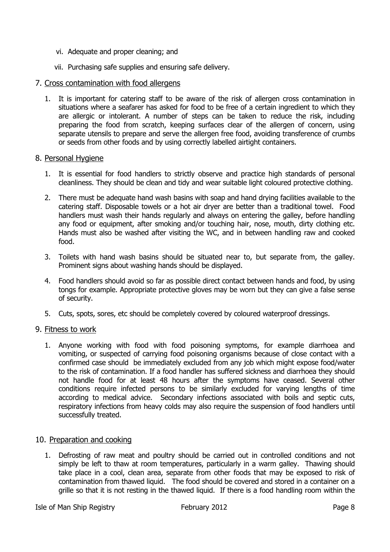- vi. Adequate and proper cleaning; and
- vii. Purchasing safe supplies and ensuring safe delivery.

#### 7. Cross contamination with food allergens

1. It is important for catering staff to be aware of the risk of allergen cross contamination in situations where a seafarer has asked for food to be free of a certain ingredient to which they are allergic or intolerant. A number of steps can be taken to reduce the risk, including preparing the food from scratch, keeping surfaces clear of the allergen of concern, using separate utensils to prepare and serve the allergen free food, avoiding transference of crumbs or seeds from other foods and by using correctly labelled airtight containers.

#### 8. Personal Hygiene

- 1. It is essential for food handlers to strictly observe and practice high standards of personal cleanliness. They should be clean and tidy and wear suitable light coloured protective clothing.
- 2. There must be adequate hand wash basins with soap and hand drying facilities available to the catering staff. Disposable towels or a hot air dryer are better than a traditional towel. Food handlers must wash their hands regularly and always on entering the galley, before handling any food or equipment, after smoking and/or touching hair, nose, mouth, dirty clothing etc. Hands must also be washed after visiting the WC, and in between handling raw and cooked food.
- 3. Toilets with hand wash basins should be situated near to, but separate from, the galley. Prominent signs about washing hands should be displayed.
- 4. Food handlers should avoid so far as possible direct contact between hands and food, by using tongs for example. Appropriate protective gloves may be worn but they can give a false sense of security.
- 5. Cuts, spots, sores, etc should be completely covered by coloured waterproof dressings.

## 9. Fitness to work

1. Anyone working with food with food poisoning symptoms, for example diarrhoea and vomiting, or suspected of carrying food poisoning organisms because of close contact with a confirmed case should be immediately excluded from any job which might expose food/water to the risk of contamination. If a food handler has suffered sickness and diarrhoea they should not handle food for at least 48 hours after the symptoms have ceased. Several other conditions require infected persons to be similarly excluded for varying lengths of time according to medical advice. Secondary infections associated with boils and septic cuts, respiratory infections from heavy colds may also require the suspension of food handlers until successfully treated.

## 10. Preparation and cooking

1. Defrosting of raw meat and poultry should be carried out in controlled conditions and not simply be left to thaw at room temperatures, particularly in a warm galley. Thawing should take place in a cool, clean area, separate from other foods that may be exposed to risk of contamination from thawed liquid. The food should be covered and stored in a container on a grille so that it is not resting in the thawed liquid. If there is a food handling room within the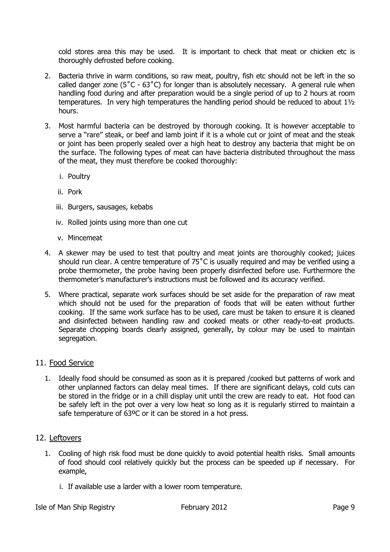cold stores area this may be used. It is important to check that meat or chicken etc is thoroughly defrosted before cooking.

- 2. Bacteria thrive in warm conditions, so raw meat, poultry, fish etc should not be left in the so called danger zone (5˚C - 63˚C) for longer than is absolutely necessary. A general rule when handling food during and after preparation would be a single period of up to 2 hours at room temperatures. In very high temperatures the handling period should be reduced to about 1½ hours.
- 3. Most harmful bacteria can be destroyed by thorough cooking. It is however acceptable to serve a "rare" steak, or beef and lamb joint if it is a whole cut or joint of meat and the steak or joint has been properly sealed over a high heat to destroy any bacteria that might be on the surface. The following types of meat can have bacteria distributed throughout the mass of the meat, they must therefore be cooked thoroughly:
	- i. Poultry
	- ii. Pork
	- iii. Burgers, sausages, kebabs
	- iv. Rolled joints using more than one cut
	- v. Mincemeat
- 4. A skewer may be used to test that poultry and meat joints are thoroughly cooked; juices should run clear. A centre temperature of 75<sup>°</sup>C is usually required and may be verified using a probe thermometer, the probe having been properly disinfected before use. Furthermore the thermometer's manufacturer's instructions must be followed and its accuracy verified.
- 5. Where practical, separate work surfaces should be set aside for the preparation of raw meat which should not be used for the preparation of foods that will be eaten without further cooking. If the same work surface has to be used, care must be taken to ensure it is cleaned and disinfected between handling raw and cooked meats or other ready-to-eat products. Separate chopping boards clearly assigned, generally, by colour may be used to maintain segregation.

#### 11. Food Service

1. Ideally food should be consumed as soon as it is prepared /cooked but patterns of work and other unplanned factors can delay meal times. If there are significant delays, cold cuts can be stored in the fridge or in a chill display unit until the crew are ready to eat. Hot food can be safely left in the pot over a very low heat so long as it is regularly stirred to maintain a safe temperature of 63°C or it can be stored in a hot press.

#### 12. Leftovers

- 1. Cooling of high risk food must be done quickly to avoid potential health risks. Small amounts of food should cool relatively quickly but the process can be speeded up if necessary. For example,
	- i. If available use a larder with a lower room temperature.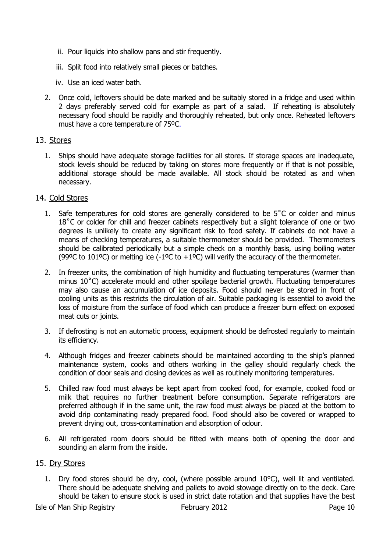- ii. Pour liquids into shallow pans and stir frequently.
- iii. Split food into relatively small pieces or batches.
- iv. Use an iced water bath.
- 2. Once cold, leftovers should be date marked and be suitably stored in a fridge and used within 2 days preferably served cold for example as part of a salad. If reheating is absolutely necessary food should be rapidly and thoroughly reheated, but only once. Reheated leftovers must have a core temperature of 75ºC.

## 13. Stores

1. Ships should have adequate storage facilities for all stores. If storage spaces are inadequate, stock levels should be reduced by taking on stores more frequently or if that is not possible, additional storage should be made available. All stock should be rotated as and when necessary.

## 14. Cold Stores

- 1. Safe temperatures for cold stores are generally considered to be 5˚C or colder and minus 18<sup>°</sup>C or colder for chill and freezer cabinets respectively but a slight tolerance of one or two degrees is unlikely to create any significant risk to food safety. If cabinets do not have a means of checking temperatures, a suitable thermometer should be provided. Thermometers should be calibrated periodically but a simple check on a monthly basis, using boiling water (99ºC to 101ºC) or melting ice (-1°C to +1°C) will verify the accuracy of the thermometer.
- 2. In freezer units, the combination of high humidity and fluctuating temperatures (warmer than minus 10˚C) accelerate mould and other spoilage bacterial growth. Fluctuating temperatures may also cause an accumulation of ice deposits. Food should never be stored in front of cooling units as this restricts the circulation of air. Suitable packaging is essential to avoid the loss of moisture from the surface of food which can produce a freezer burn effect on exposed meat cuts or joints.
- 3. If defrosting is not an automatic process, equipment should be defrosted regularly to maintain its efficiency.
- 4. Although fridges and freezer cabinets should be maintained according to the ship's planned maintenance system, cooks and others working in the galley should regularly check the condition of door seals and closing devices as well as routinely monitoring temperatures.
- 5. Chilled raw food must always be kept apart from cooked food, for example, cooked food or milk that requires no further treatment before consumption. Separate refrigerators are preferred although if in the same unit, the raw food must always be placed at the bottom to avoid drip contaminating ready prepared food. Food should also be covered or wrapped to prevent drying out, cross-contamination and absorption of odour.
- 6. All refrigerated room doors should be fitted with means both of opening the door and sounding an alarm from the inside.

#### 15. Dry Stores

1. Dry food stores should be dry, cool, (where possible around 10°C), well lit and ventilated. There should be adequate shelving and pallets to avoid stowage directly on to the deck. Care should be taken to ensure stock is used in strict date rotation and that supplies have the best

Isle of Man Ship Registry **February 2012** Page 10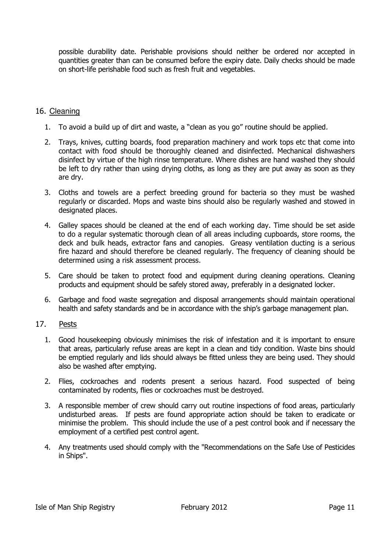possible durability date. Perishable provisions should neither be ordered nor accepted in quantities greater than can be consumed before the expiry date. Daily checks should be made on short-life perishable food such as fresh fruit and vegetables.

## 16. Cleaning

- 1. To avoid a build up of dirt and waste, a "clean as you go" routine should be applied.
- 2. Trays, knives, cutting boards, food preparation machinery and work tops etc that come into contact with food should be thoroughly cleaned and disinfected. Mechanical dishwashers disinfect by virtue of the high rinse temperature. Where dishes are hand washed they should be left to dry rather than using drying cloths, as long as they are put away as soon as they are dry.
- 3. Cloths and towels are a perfect breeding ground for bacteria so they must be washed regularly or discarded. Mops and waste bins should also be regularly washed and stowed in designated places.
- 4. Galley spaces should be cleaned at the end of each working day. Time should be set aside to do a regular systematic thorough clean of all areas including cupboards, store rooms, the deck and bulk heads, extractor fans and canopies. Greasy ventilation ducting is a serious fire hazard and should therefore be cleaned regularly. The frequency of cleaning should be determined using a risk assessment process.
- 5. Care should be taken to protect food and equipment during cleaning operations. Cleaning products and equipment should be safely stored away, preferably in a designated locker.
- 6. Garbage and food waste segregation and disposal arrangements should maintain operational health and safety standards and be in accordance with the ship's garbage management plan.

## 17. Pests

- 1. Good housekeeping obviously minimises the risk of infestation and it is important to ensure that areas, particularly refuse areas are kept in a clean and tidy condition. Waste bins should be emptied regularly and lids should always be fitted unless they are being used. They should also be washed after emptying.
- 2. Flies, cockroaches and rodents present a serious hazard. Food suspected of being contaminated by rodents, flies or cockroaches must be destroyed.
- 3. A responsible member of crew should carry out routine inspections of food areas, particularly undisturbed areas. If pests are found appropriate action should be taken to eradicate or minimise the problem. This should include the use of a pest control book and if necessary the employment of a certified pest control agent.
- 4. Any treatments used should comply with the "Recommendations on the Safe Use of Pesticides in Ships".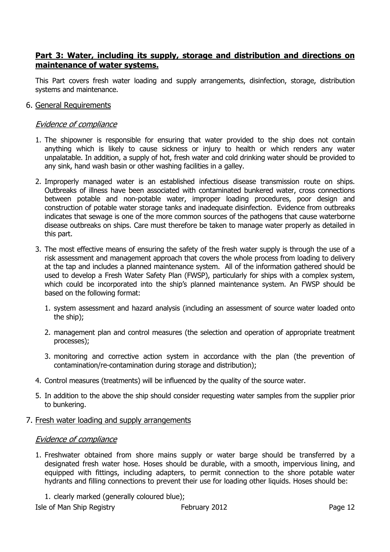## Part 3: Water, including its supply, storage and distribution and directions on maintenance of water systems.

This Part covers fresh water loading and supply arrangements, disinfection, storage, distribution systems and maintenance.

6. General Requirements

### Evidence of compliance

- 1. The shipowner is responsible for ensuring that water provided to the ship does not contain anything which is likely to cause sickness or injury to health or which renders any water unpalatable. In addition, a supply of hot, fresh water and cold drinking water should be provided to any sink, hand wash basin or other washing facilities in a galley.
- 2. Improperly managed water is an established infectious disease transmission route on ships. Outbreaks of illness have been associated with contaminated bunkered water, cross connections between potable and non-potable water, improper loading procedures, poor design and construction of potable water storage tanks and inadequate disinfection. Evidence from outbreaks indicates that sewage is one of the more common sources of the pathogens that cause waterborne disease outbreaks on ships. Care must therefore be taken to manage water properly as detailed in this part.
- 3. The most effective means of ensuring the safety of the fresh water supply is through the use of a risk assessment and management approach that covers the whole process from loading to delivery at the tap and includes a planned maintenance system. All of the information gathered should be used to develop a Fresh Water Safety Plan (FWSP), particularly for ships with a complex system, which could be incorporated into the ship's planned maintenance system. An FWSP should be based on the following format:
	- 1. system assessment and hazard analysis (including an assessment of source water loaded onto the ship);
	- 2. management plan and control measures (the selection and operation of appropriate treatment processes);
	- 3. monitoring and corrective action system in accordance with the plan (the prevention of contamination/re-contamination during storage and distribution);
- 4. Control measures (treatments) will be influenced by the quality of the source water.
- 5. In addition to the above the ship should consider requesting water samples from the supplier prior to bunkering.
- 7. Fresh water loading and supply arrangements

#### Evidence of compliance

- 1. Freshwater obtained from shore mains supply or water barge should be transferred by a designated fresh water hose. Hoses should be durable, with a smooth, impervious lining, and equipped with fittings, including adapters, to permit connection to the shore potable water hydrants and filling connections to prevent their use for loading other liquids. Hoses should be:
	- 1. clearly marked (generally coloured blue);

Isle of Man Ship Registry **February 2012** Page 12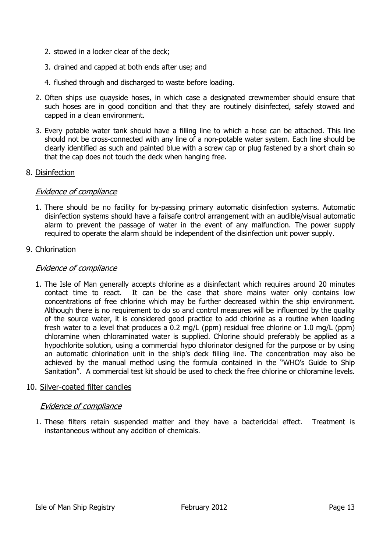- 2. stowed in a locker clear of the deck;
- 3. drained and capped at both ends after use; and
- 4. flushed through and discharged to waste before loading.
- 2. Often ships use quayside hoses, in which case a designated crewmember should ensure that such hoses are in good condition and that they are routinely disinfected, safely stowed and capped in a clean environment.
- 3. Every potable water tank should have a filling line to which a hose can be attached. This line should not be cross-connected with any line of a non-potable water system. Each line should be clearly identified as such and painted blue with a screw cap or plug fastened by a short chain so that the cap does not touch the deck when hanging free.

#### 8. Disinfection

## Evidence of compliance

1. There should be no facility for by-passing primary automatic disinfection systems. Automatic disinfection systems should have a failsafe control arrangement with an audible/visual automatic alarm to prevent the passage of water in the event of any malfunction. The power supply required to operate the alarm should be independent of the disinfection unit power supply.

## 9. Chlorination

## Evidence of compliance

1. The Isle of Man generally accepts chlorine as a disinfectant which requires around 20 minutes contact time to react. It can be the case that shore mains water only contains low concentrations of free chlorine which may be further decreased within the ship environment. Although there is no requirement to do so and control measures will be influenced by the quality of the source water, it is considered good practice to add chlorine as a routine when loading fresh water to a level that produces a 0.2 mg/L (ppm) residual free chlorine or 1.0 mg/L (ppm) chloramine when chloraminated water is supplied. Chlorine should preferably be applied as a hypochlorite solution, using a commercial hypo chlorinator designed for the purpose or by using an automatic chlorination unit in the ship's deck filling line. The concentration may also be achieved by the manual method using the formula contained in the "WHO's Guide to Ship Sanitation". A commercial test kit should be used to check the free chlorine or chloramine levels.

#### 10. Silver-coated filter candles

## Evidence of compliance

1. These filters retain suspended matter and they have a bactericidal effect. Treatment is instantaneous without any addition of chemicals.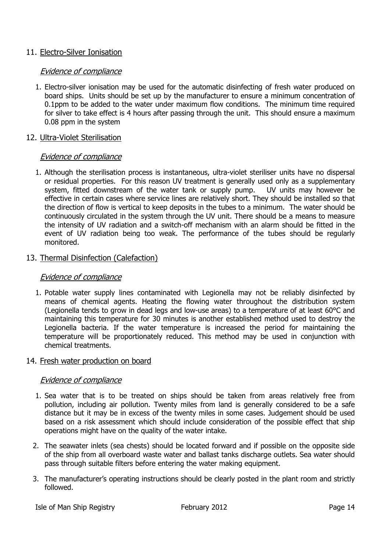## 11. Electro-Silver Ionisation

#### Evidence of compliance

1. Electro-silver ionisation may be used for the automatic disinfecting of fresh water produced on board ships. Units should be set up by the manufacturer to ensure a minimum concentration of 0.1ppm to be added to the water under maximum flow conditions. The minimum time required for silver to take effect is 4 hours after passing through the unit. This should ensure a maximum 0.08 ppm in the system

#### 12. Ultra-Violet Sterilisation

#### Evidence of compliance

1. Although the sterilisation process is instantaneous, ultra-violet steriliser units have no dispersal or residual properties. For this reason UV treatment is generally used only as a supplementary system, fitted downstream of the water tank or supply pump. UV units may however be effective in certain cases where service lines are relatively short. They should be installed so that the direction of flow is vertical to keep deposits in the tubes to a minimum. The water should be continuously circulated in the system through the UV unit. There should be a means to measure the intensity of UV radiation and a switch-off mechanism with an alarm should be fitted in the event of UV radiation being too weak. The performance of the tubes should be regularly monitored.

#### 13. Thermal Disinfection (Calefaction)

#### Evidence of compliance

1. Potable water supply lines contaminated with Legionella may not be reliably disinfected by means of chemical agents. Heating the flowing water throughout the distribution system (Legionella tends to grow in dead legs and low-use areas) to a temperature of at least 60°C and maintaining this temperature for 30 minutes is another established method used to destroy the Legionella bacteria. If the water temperature is increased the period for maintaining the temperature will be proportionately reduced. This method may be used in conjunction with chemical treatments.

#### 14. Fresh water production on board

- 1. Sea water that is to be treated on ships should be taken from areas relatively free from pollution, including air pollution. Twenty miles from land is generally considered to be a safe distance but it may be in excess of the twenty miles in some cases. Judgement should be used based on a risk assessment which should include consideration of the possible effect that ship operations might have on the quality of the water intake.
- 2. The seawater inlets (sea chests) should be located forward and if possible on the opposite side of the ship from all overboard waste water and ballast tanks discharge outlets. Sea water should pass through suitable filters before entering the water making equipment.
- 3. The manufacturer's operating instructions should be clearly posted in the plant room and strictly followed.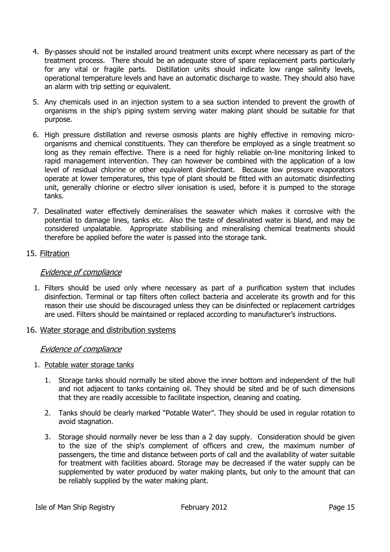- 4. By-passes should not be installed around treatment units except where necessary as part of the treatment process. There should be an adequate store of spare replacement parts particularly for any vital or fragile parts. Distillation units should indicate low range salinity levels, operational temperature levels and have an automatic discharge to waste. They should also have an alarm with trip setting or equivalent.
- 5. Any chemicals used in an injection system to a sea suction intended to prevent the growth of organisms in the ship's piping system serving water making plant should be suitable for that purpose.
- 6. High pressure distillation and reverse osmosis plants are highly effective in removing microorganisms and chemical constituents. They can therefore be employed as a single treatment so long as they remain effective. There is a need for highly reliable on-line monitoring linked to rapid management intervention. They can however be combined with the application of a low level of residual chlorine or other equivalent disinfectant. Because low pressure evaporators operate at lower temperatures, this type of plant should be fitted with an automatic disinfecting unit, generally chlorine or electro silver ionisation is used, before it is pumped to the storage tanks.
- 7. Desalinated water effectively demineralises the seawater which makes it corrosive with the potential to damage lines, tanks etc. Also the taste of desalinated water is bland, and may be considered unpalatable. Appropriate stabilising and mineralising chemical treatments should therefore be applied before the water is passed into the storage tank.

## 15. Filtration

## Evidence of compliance

1. Filters should be used only where necessary as part of a purification system that includes disinfection. Terminal or tap filters often collect bacteria and accelerate its growth and for this reason their use should be discouraged unless they can be disinfected or replacement cartridges are used. Filters should be maintained or replaced according to manufacturer's instructions.

## 16. Water storage and distribution systems

- 1. Potable water storage tanks
	- 1. Storage tanks should normally be sited above the inner bottom and independent of the hull and not adjacent to tanks containing oil. They should be sited and be of such dimensions that they are readily accessible to facilitate inspection, cleaning and coating.
	- 2. Tanks should be clearly marked "Potable Water". They should be used in regular rotation to avoid stagnation.
	- 3. Storage should normally never be less than a 2 day supply. Consideration should be given to the size of the ship's complement of officers and crew, the maximum number of passengers, the time and distance between ports of call and the availability of water suitable for treatment with facilities aboard. Storage may be decreased if the water supply can be supplemented by water produced by water making plants, but only to the amount that can be reliably supplied by the water making plant.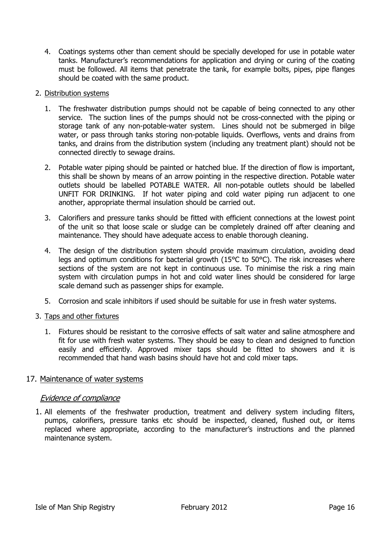4. Coatings systems other than cement should be specially developed for use in potable water tanks. Manufacturer's recommendations for application and drying or curing of the coating must be followed. All items that penetrate the tank, for example bolts, pipes, pipe flanges should be coated with the same product.

#### 2. Distribution systems

- 1. The freshwater distribution pumps should not be capable of being connected to any other service. The suction lines of the pumps should not be cross-connected with the piping or storage tank of any non-potable-water system. Lines should not be submerged in bilge water, or pass through tanks storing non-potable liquids. Overflows, vents and drains from tanks, and drains from the distribution system (including any treatment plant) should not be connected directly to sewage drains.
- 2. Potable water piping should be painted or hatched blue. If the direction of flow is important, this shall be shown by means of an arrow pointing in the respective direction. Potable water outlets should be labelled POTABLE WATER. All non-potable outlets should be labelled UNFIT FOR DRINKING. If hot water piping and cold water piping run adjacent to one another, appropriate thermal insulation should be carried out.
- 3. Calorifiers and pressure tanks should be fitted with efficient connections at the lowest point of the unit so that loose scale or sludge can be completely drained off after cleaning and maintenance. They should have adequate access to enable thorough cleaning.
- 4. The design of the distribution system should provide maximum circulation, avoiding dead legs and optimum conditions for bacterial growth (15°C to 50°C). The risk increases where sections of the system are not kept in continuous use. To minimise the risk a ring main system with circulation pumps in hot and cold water lines should be considered for large scale demand such as passenger ships for example.
- 5. Corrosion and scale inhibitors if used should be suitable for use in fresh water systems.

## 3. Taps and other fixtures

1. Fixtures should be resistant to the corrosive effects of salt water and saline atmosphere and fit for use with fresh water systems. They should be easy to clean and designed to function easily and efficiently. Approved mixer taps should be fitted to showers and it is recommended that hand wash basins should have hot and cold mixer taps.

## 17. Maintenance of water systems

## Evidence of compliance

1. All elements of the freshwater production, treatment and delivery system including filters, pumps, calorifiers, pressure tanks etc should be inspected, cleaned, flushed out, or items replaced where appropriate, according to the manufacturer's instructions and the planned maintenance system.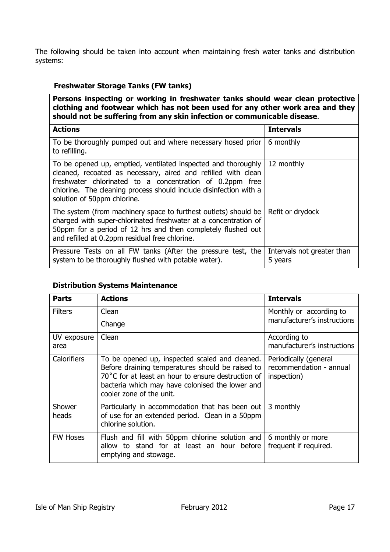The following should be taken into account when maintaining fresh water tanks and distribution systems:

## Freshwater Storage Tanks (FW tanks)

Persons inspecting or working in freshwater tanks should wear clean protective clothing and footwear which has not been used for any other work area and they should not be suffering from any skin infection or communicable disease.

| <b>Actions</b>                                                                                                                                                                                                                                                                                 | <b>Intervals</b>                      |
|------------------------------------------------------------------------------------------------------------------------------------------------------------------------------------------------------------------------------------------------------------------------------------------------|---------------------------------------|
| To be thoroughly pumped out and where necessary hosed prior<br>to refilling.                                                                                                                                                                                                                   | 6 monthly                             |
| To be opened up, emptied, ventilated inspected and thoroughly<br>cleaned, recoated as necessary, aired and refilled with clean<br>freshwater chlorinated to a concentration of 0.2ppm free<br>chlorine. The cleaning process should include disinfection with a<br>solution of 50ppm chlorine. | 12 monthly                            |
| The system (from machinery space to furthest outlets) should be<br>charged with super-chlorinated freshwater at a concentration of<br>50ppm for a period of 12 hrs and then completely flushed out<br>and refilled at 0.2ppm residual free chlorine.                                           | Refit or drydock                      |
| Pressure Tests on all FW tanks (After the pressure test, the<br>system to be thoroughly flushed with potable water).                                                                                                                                                                           | Intervals not greater than<br>5 years |

## Distribution Systems Maintenance

| <b>Parts</b>        | <b>Actions</b>                                                                                                                                                                                                                          | <b>Intervals</b>                                                |
|---------------------|-----------------------------------------------------------------------------------------------------------------------------------------------------------------------------------------------------------------------------------------|-----------------------------------------------------------------|
| <b>Filters</b>      | Clean                                                                                                                                                                                                                                   | Monthly or according to<br>manufacturer's instructions          |
|                     | Change                                                                                                                                                                                                                                  |                                                                 |
| UV exposure<br>area | Clean                                                                                                                                                                                                                                   | According to<br>manufacturer's instructions                     |
| Calorifiers         | To be opened up, inspected scaled and cleaned.<br>Before draining temperatures should be raised to<br>70°C for at least an hour to ensure destruction of<br>bacteria which may have colonised the lower and<br>cooler zone of the unit. | Periodically (general<br>recommendation - annual<br>inspection) |
| Shower<br>heads     | Particularly in accommodation that has been out<br>of use for an extended period. Clean in a 50ppm<br>chlorine solution.                                                                                                                | 3 monthly                                                       |
| <b>FW Hoses</b>     | Flush and fill with 50ppm chlorine solution and<br>allow to stand for at least an hour before<br>emptying and stowage.                                                                                                                  | 6 monthly or more<br>frequent if required.                      |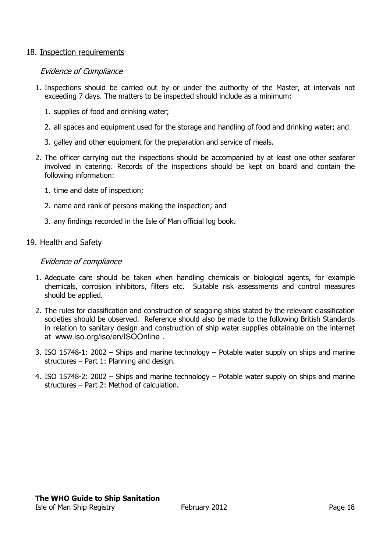### 18. Inspection requirements

#### Evidence of Compliance

- 1. Inspections should be carried out by or under the authority of the Master, at intervals not exceeding 7 days. The matters to be inspected should include as a minimum:
	- 1. supplies of food and drinking water;
	- 2. all spaces and equipment used for the storage and handling of food and drinking water; and
	- 3. galley and other equipment for the preparation and service of meals.
- 2. The officer carrying out the inspections should be accompanied by at least one other seafarer involved in catering. Records of the inspections should be kept on board and contain the following information:
	- 1. time and date of inspection;
	- 2. name and rank of persons making the inspection; and
	- 3. any findings recorded in the Isle of Man official log book.

#### 19. Health and Safety

- 1. Adequate care should be taken when handling chemicals or biological agents, for example chemicals, corrosion inhibitors, filters etc. Suitable risk assessments and control measures should be applied.
- 2. The rules for classification and construction of seagoing ships stated by the relevant classification societies should be observed. Reference should also be made to the following British Standards in relation to sanitary design and construction of ship water supplies obtainable on the internet at www.iso.org/iso/en/ISOOnline .
- 3. ISO 15748-1: 2002 Ships and marine technology Potable water supply on ships and marine structures – Part 1: Planning and design.
- 4. ISO 15748-2: 2002 Ships and marine technology Potable water supply on ships and marine structures – Part 2: Method of calculation.